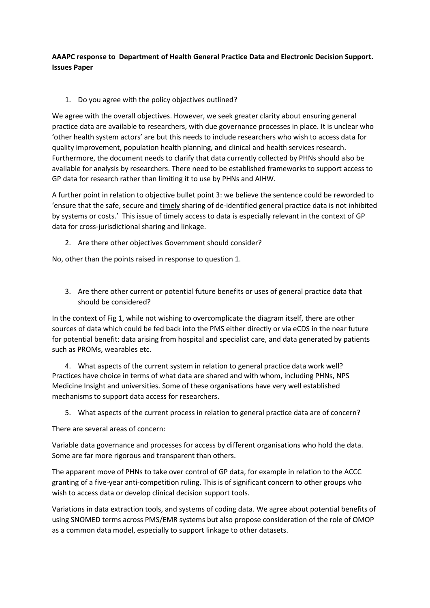**AAAPC response to Department of Health General Practice Data and Electronic Decision Support. Issues Paper**

1. Do you agree with the policy objectives outlined?

We agree with the overall objectives. However, we seek greater clarity about ensuring general practice data are available to researchers, with due governance processes in place. It is unclear who 'other health system actors' are but this needs to include researchers who wish to access data for quality improvement, population health planning, and clinical and health services research. Furthermore, the document needs to clarify that data currently collected by PHNs should also be available for analysis by researchers. There need to be established frameworks to support access to GP data for research rather than limiting it to use by PHNs and AIHW.

A further point in relation to objective bullet point 3: we believe the sentence could be reworded to 'ensure that the safe, secure and timely sharing of de-identified general practice data is not inhibited by systems or costs.' This issue of timely access to data is especially relevant in the context of GP data for cross-jurisdictional sharing and linkage.

2. Are there other objectives Government should consider?

No, other than the points raised in response to question 1.

3. Are there other current or potential future benefits or uses of general practice data that should be considered?

In the context of Fig 1, while not wishing to overcomplicate the diagram itself, there are other sources of data which could be fed back into the PMS either directly or via eCDS in the near future for potential benefit: data arising from hospital and specialist care, and data generated by patients such as PROMs, wearables etc.

4. What aspects of the current system in relation to general practice data work well? Practices have choice in terms of what data are shared and with whom, including PHNs, NPS Medicine Insight and universities. Some of these organisations have very well established mechanisms to support data access for researchers.

5. What aspects of the current process in relation to general practice data are of concern?

There are several areas of concern:

Variable data governance and processes for access by different organisations who hold the data. Some are far more rigorous and transparent than others.

The apparent move of PHNs to take over control of GP data, for example in relation to the ACCC granting of a five-year anti-competition ruling. This is of significant concern to other groups who wish to access data or develop clinical decision support tools.

Variations in data extraction tools, and systems of coding data. We agree about potential benefits of using SNOMED terms across PMS/EMR systems but also propose consideration of the role of OMOP as a common data model, especially to support linkage to other datasets.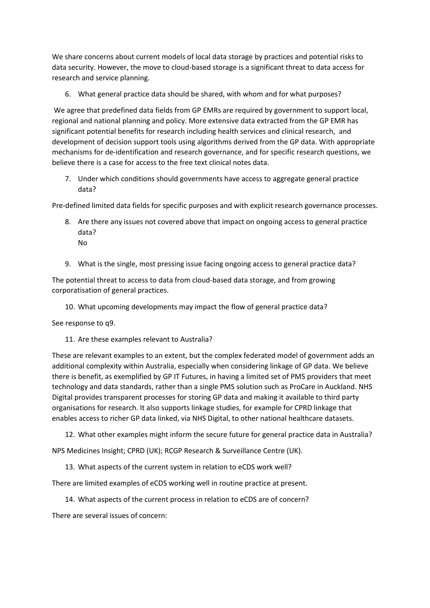We share concerns about current models of local data storage by practices and potential risks to data security. However, the move to cloud-based storage is a significant threat to data access for research and service planning.

6. What general practice data should be shared, with whom and for what purposes?

We agree that predefined data fields from GP EMRs are required by government to support local, regional and national planning and policy. More extensive data extracted from the GP EMR has significant potential benefits for research including health services and clinical research, and development of decision support tools using algorithms derived from the GP data. With appropriate mechanisms for de-identification and research governance, and for specific research questions, we believe there is a case for access to the free text clinical notes data.

7. Under which conditions should governments have access to aggregate general practice data?

Pre-defined limited data fields for specific purposes and with explicit research governance processes.

- 8. Are there any issues not covered above that impact on ongoing access to general practice data? No
- 9. What is the single, most pressing issue facing ongoing access to general practice data?

The potential threat to access to data from cloud-based data storage, and from growing corporatisation of general practices.

10. What upcoming developments may impact the flow of general practice data?

See response to q9.

11. Are these examples relevant to Australia?

These are relevant examples to an extent, but the complex federated model of government adds an additional complexity within Australia, especially when considering linkage of GP data. We believe there is benefit, as exemplified by GP IT Futures, in having a limited set of PMS providers that meet technology and data standards, rather than a single PMS solution such as ProCare in Auckland. NHS Digital provides transparent processes for storing GP data and making it available to third party organisations for research. It also supports linkage studies, for example for CPRD linkage that enables access to richer GP data linked, via NHS Digital, to other national healthcare datasets.

12. What other examples might inform the secure future for general practice data in Australia?

NPS Medicines Insight; CPRD (UK); RCGP Research & Surveillance Centre (UK).

13. What aspects of the current system in relation to eCDS work well?

There are limited examples of eCDS working well in routine practice at present.

14. What aspects of the current process in relation to eCDS are of concern?

There are several issues of concern: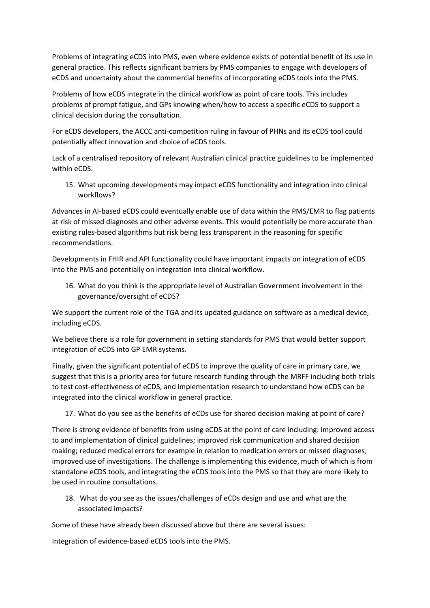Problems of integrating eCDS into PMS, even where evidence exists of potential benefit of its use in general practice. This reflects significant barriers by PMS companies to engage with developers of eCDS and uncertainty about the commercial benefits of incorporating eCDS tools into the PMS.

Problems of how eCDS integrate in the clinical workflow as point of care tools. This includes problems of prompt fatigue, and GPs knowing when/how to access a specific eCDS to support a clinical decision during the consultation.

For eCDS developers, the ACCC anti-competition ruling in favour of PHNs and its eCDS tool could potentially affect innovation and choice of eCDS tools.

Lack of a centralised repository of relevant Australian clinical practice guidelines to be implemented within eCDS.

15. What upcoming developments may impact eCDS functionality and integration into clinical workflows?

Advances in AI-based eCDS could eventually enable use of data within the PMS/EMR to flag patients at risk of missed diagnoses and other adverse events. This would potentially be more accurate than existing rules-based algorithms but risk being less transparent in the reasoning for specific recommendations.

Developments in FHIR and API functionality could have important impacts on integration of eCDS into the PMS and potentially on integration into clinical workflow.

16. What do you think is the appropriate level of Australian Government involvement in the governance/oversight of eCDS?

We support the current role of the TGA and its updated guidance on software as a medical device, including eCDS.

We believe there is a role for government in setting standards for PMS that would better support integration of eCDS into GP EMR systems.

Finally, given the significant potential of eCDS to improve the quality of care in primary care, we suggest that this is a priority area for future research funding through the MRFF including both trials to test cost-effectiveness of eCDS, and implementation research to understand how eCDS can be integrated into the clinical workflow in general practice.

17. What do you see as the benefits of eCDs use for shared decision making at point of care?

There is strong evidence of benefits from using eCDS at the point of care including: improved access to and implementation of clinical guidelines; improved risk communication and shared decision making; reduced medical errors for example in relation to medication errors or missed diagnoses; improved use of investigations. The challenge is implementing this evidence, much of which is from standalone eCDS tools, and integrating the eCDS tools into the PMS so that they are more likely to be used in routine consultations.

18. What do you see as the issues/challenges of eCDs design and use and what are the associated impacts?

Some of these have already been discussed above but there are several issues:

Integration of evidence-based eCDS tools into the PMS.